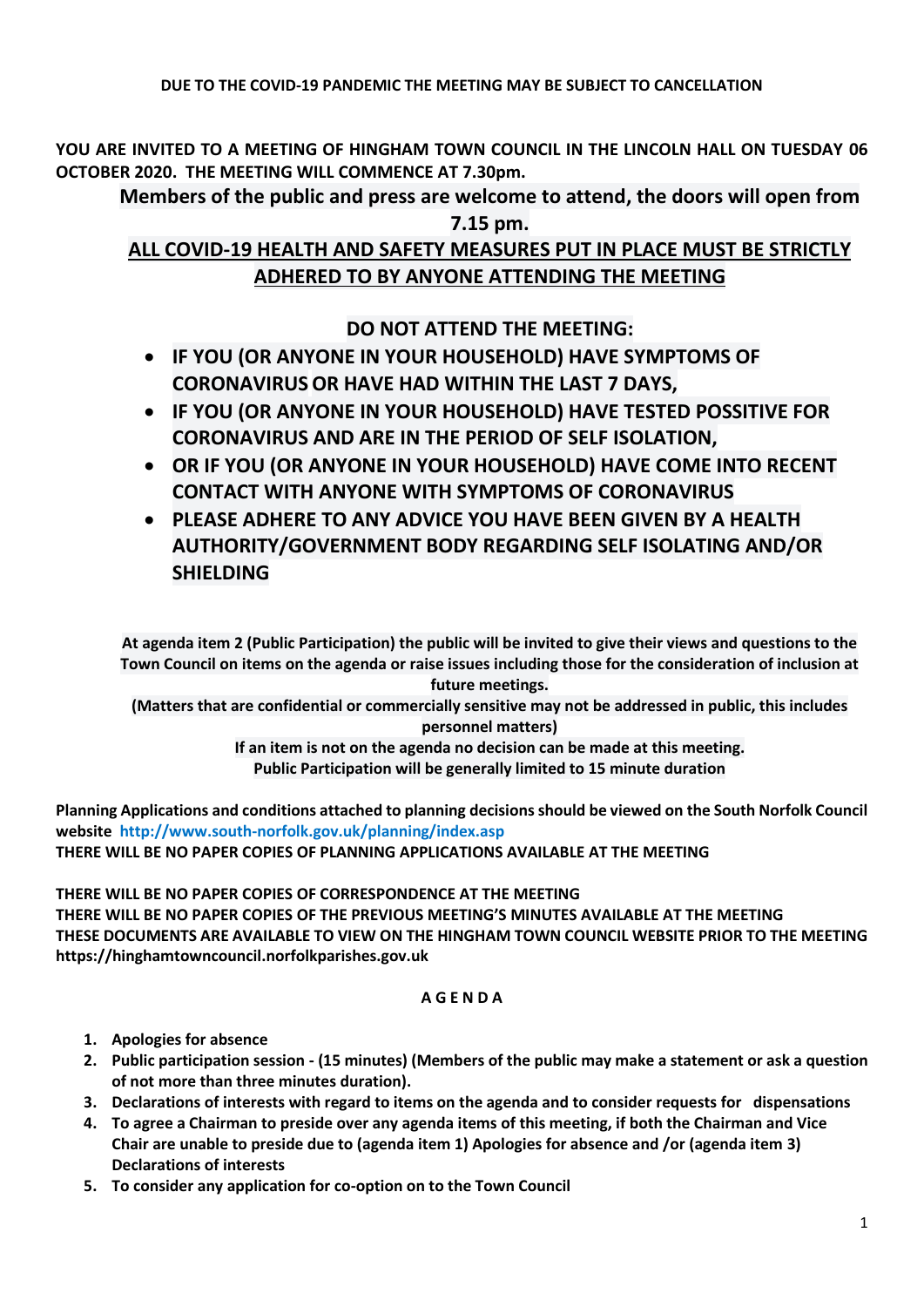**YOU ARE INVITED TO A MEETING OF HINGHAM TOWN COUNCIL IN THE LINCOLN HALL ON TUESDAY 06 OCTOBER 2020. THE MEETING WILL COMMENCE AT 7.30pm.** 

**Members of the public and press are welcome to attend, the doors will open from 7.15 pm.**

# **ALL COVID-19 HEALTH AND SAFETY MEASURES PUT IN PLACE MUST BE STRICTLY ADHERED TO BY ANYONE ATTENDING THE MEETING**

**DO NOT ATTEND THE MEETING:**

- **IF YOU (OR ANYONE IN YOUR HOUSEHOLD) HAVE SYMPTOMS OF CORONAVIRUS OR HAVE HAD WITHIN THE LAST 7 DAYS,**
- **IF YOU (OR ANYONE IN YOUR HOUSEHOLD) HAVE TESTED POSSITIVE FOR CORONAVIRUS AND ARE IN THE PERIOD OF SELF ISOLATION,**
- **OR IF YOU (OR ANYONE IN YOUR HOUSEHOLD) HAVE COME INTO RECENT CONTACT WITH ANYONE WITH SYMPTOMS OF CORONAVIRUS**
- **PLEASE ADHERE TO ANY ADVICE YOU HAVE BEEN GIVEN BY A HEALTH AUTHORITY/GOVERNMENT BODY REGARDING SELF ISOLATING AND/OR SHIELDING**

**At agenda item 2 (Public Participation) the public will be invited to give their views and questions to the Town Council on items on the agenda or raise issues including those for the consideration of inclusion at future meetings.**

**(Matters that are confidential or commercially sensitive may not be addressed in public, this includes personnel matters)**

> **If an item is not on the agenda no decision can be made at this meeting. Public Participation will be generally limited to 15 minute duration**

**Planning Applications and conditions attached to planning decisions should be viewed on the South Norfolk Council website <http://www.south-norfolk.gov.uk/planning/index.asp> THERE WILL BE NO PAPER COPIES OF PLANNING APPLICATIONS AVAILABLE AT THE MEETING**

**THERE WILL BE NO PAPER COPIES OF CORRESPONDENCE AT THE MEETING THERE WILL BE NO PAPER COPIES OF THE PREVIOUS MEETING'S MINUTES AVAILABLE AT THE MEETING THESE DOCUMENTS ARE AVAILABLE TO VIEW ON THE HINGHAM TOWN COUNCIL WEBSITE PRIOR TO THE MEETING https://hinghamtowncouncil.norfolkparishes.gov.uk**

## **A G E N D A**

- **1. Apologies for absence**
- **2. Public participation session - (15 minutes) (Members of the public may make a statement or ask a question of not more than three minutes duration).**
- **3. Declarations of interests with regard to items on the agenda and to consider requests for dispensations**
- **4. To agree a Chairman to preside over any agenda items of this meeting, if both the Chairman and Vice Chair are unable to preside due to (agenda item 1) Apologies for absence and /or (agenda item 3) Declarations of interests**
- **5. To consider any application for co-option on to the Town Council**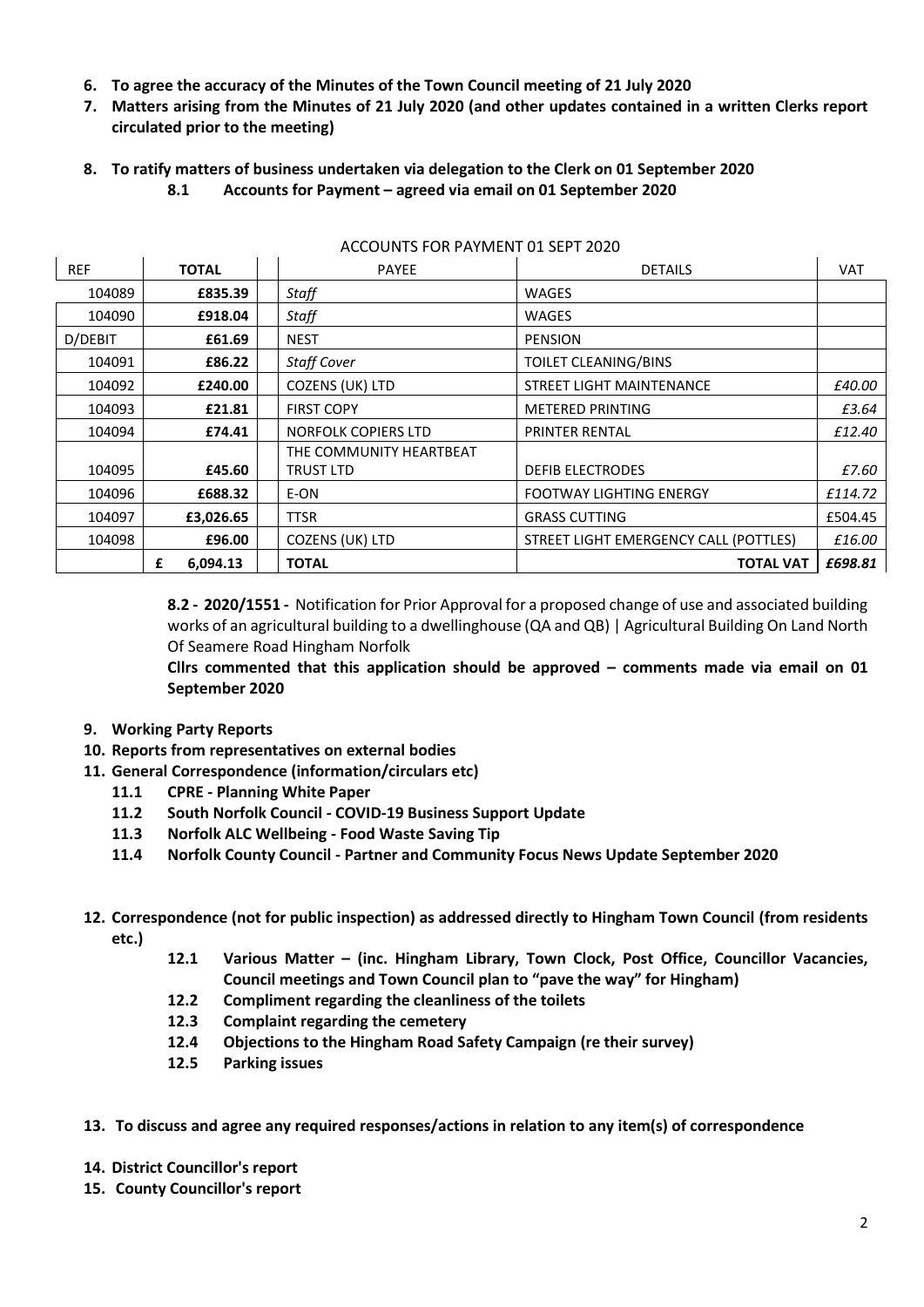- **6. To agree the accuracy of the Minutes of the Town Council meeting of 21 July 2020**
- **7. Matters arising from the Minutes of 21 July 2020 (and other updates contained in a written Clerks report circulated prior to the meeting)**
- **8. To ratify matters of business undertaken via delegation to the Clerk on 01 September 2020 8.1 Accounts for Payment – agreed via email on 01 September 2020**

| <b>REF</b> | <b>TOTAL</b>  | <b>PAYEE</b>                                | <b>DETAILS</b>                        | <b>VAT</b> |
|------------|---------------|---------------------------------------------|---------------------------------------|------------|
| 104089     | £835.39       | Staff                                       | <b>WAGES</b>                          |            |
| 104090     | £918.04       | Staff                                       | WAGES                                 |            |
| D/DEBIT    | £61.69        | <b>NEST</b>                                 | <b>PENSION</b>                        |            |
| 104091     | £86.22        | <b>Staff Cover</b>                          | TOILET CLEANING/BINS                  |            |
| 104092     | £240.00       | COZENS (UK) LTD                             | STREET LIGHT MAINTENANCE              | £40.00     |
| 104093     | £21.81        | <b>FIRST COPY</b>                           | <b>METERED PRINTING</b>               | £3.64      |
| 104094     | £74.41        | <b>NORFOLK COPIERS LTD</b>                  | <b>PRINTER RENTAL</b>                 | £12.40     |
| 104095     | £45.60        | THE COMMUNITY HEARTBEAT<br><b>TRUST LTD</b> | <b>DEFIB ELECTRODES</b>               | £7.60      |
| 104096     | £688.32       | E-ON                                        | <b>FOOTWAY LIGHTING ENERGY</b>        | £114.72    |
| 104097     | £3,026.65     | <b>TTSR</b>                                 | <b>GRASS CUTTING</b>                  | £504.45    |
| 104098     | £96.00        | COZENS (UK) LTD                             | STREET LIGHT EMERGENCY CALL (POTTLES) | £16.00     |
|            | 6,094.13<br>£ | <b>TOTAL</b>                                | <b>TOTAL VAT</b>                      | £698.81    |

#### ACCOUNTS FOR PAYMENT 01 SEPT 2020

**8.2 - 2020/1551 -** Notification for Prior Approval for a proposed change of use and associated building works of an agricultural building to a dwellinghouse (QA and QB) | Agricultural Building On Land North Of Seamere Road Hingham Norfolk

**Cllrs commented that this application should be approved – comments made via email on 01 September 2020**

- **9. Working Party Reports**
- **10. Reports from representatives on external bodies**
- **11. General Correspondence (information/circulars etc)**
	- **11.1 CPRE - Planning White Paper**
	- **11.2 South Norfolk Council - COVID-19 Business Support Update**
	- **11.3 Norfolk ALC Wellbeing - Food Waste Saving Tip**
	- **11.4 Norfolk County Council - Partner and Community Focus News Update September 2020**
- **12. Correspondence (not for public inspection) as addressed directly to Hingham Town Council (from residents etc.)**
	- **12.1 Various Matter – (inc. Hingham Library, Town Clock, Post Office, Councillor Vacancies, Council meetings and Town Council plan to "pave the way" for Hingham)**
	- **12.2 Compliment regarding the cleanliness of the toilets**
	- **12.3 Complaint regarding the cemetery**
	- **12.4 Objections to the Hingham Road Safety Campaign (re their survey)**
	- **12.5 Parking issues**
- **13. To discuss and agree any required responses/actions in relation to any item(s) of correspondence**
- **14. District Councillor's report**
- **15. County Councillor's report**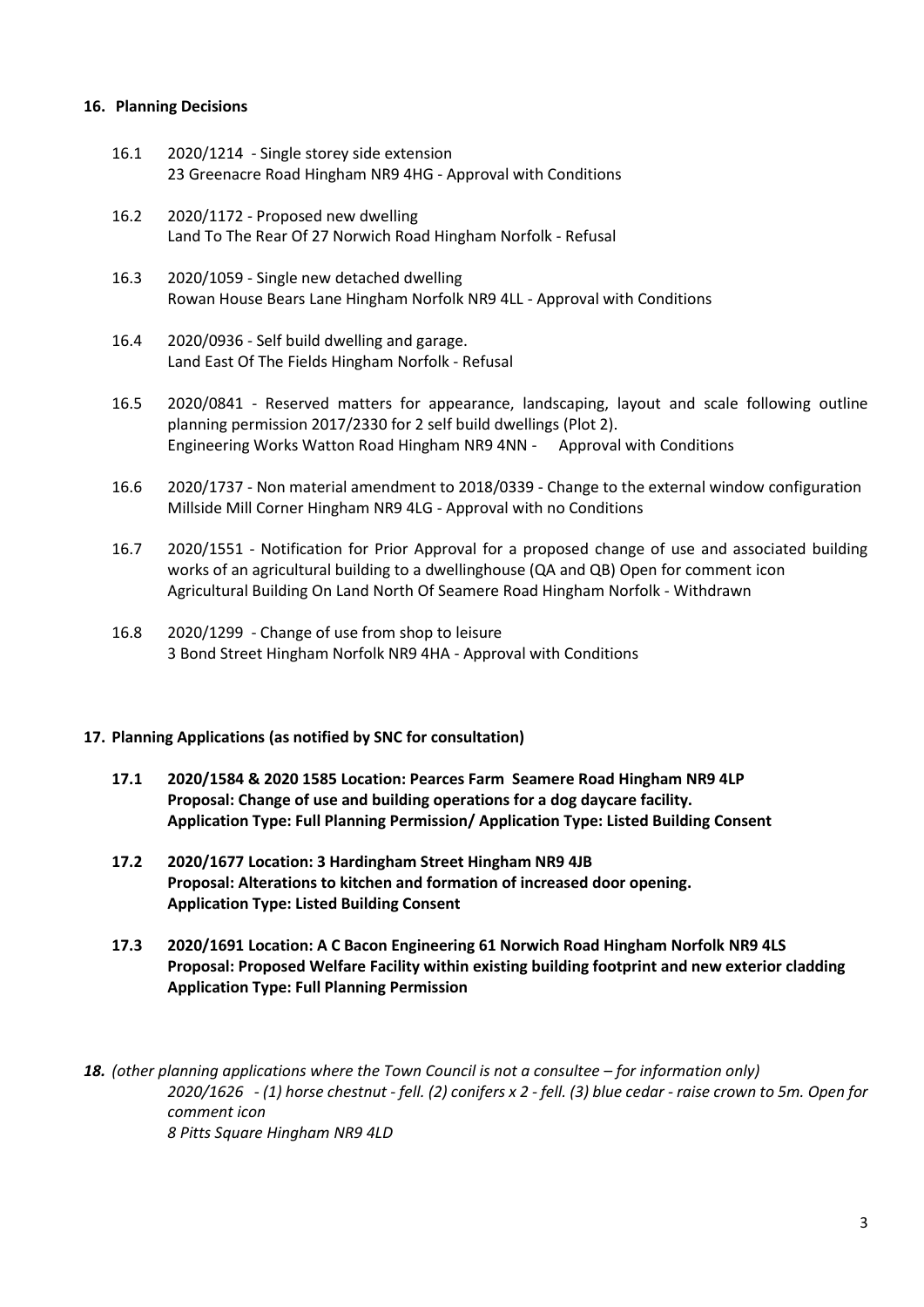#### **16. Planning Decisions**

- 16.1 2020/1214 Single storey side extension 23 Greenacre Road Hingham NR9 4HG - Approval with Conditions
- 16.2 2020/1172 Proposed new dwelling Land To The Rear Of 27 Norwich Road Hingham Norfolk - Refusal
- 16.3 2020/1059 Single new detached dwelling Rowan House Bears Lane Hingham Norfolk NR9 4LL - Approval with Conditions
- 16.4 2020/0936 Self build dwelling and garage. Land East Of The Fields Hingham Norfolk - Refusal
- 16.5 2020/0841 Reserved matters for appearance, landscaping, layout and scale following outline planning permission 2017/2330 for 2 self build dwellings (Plot 2). Engineering Works Watton Road Hingham NR9 4NN - Approval with Conditions
- 16.6 2020/1737 Non material amendment to 2018/0339 Change to the external window configuration Millside Mill Corner Hingham NR9 4LG - Approval with no Conditions
- 16.7 2020/1551 Notification for Prior Approval for a proposed change of use and associated building works of an agricultural building to a dwellinghouse (QA and QB) Open for comment icon Agricultural Building On Land North Of Seamere Road Hingham Norfolk - Withdrawn
- 16.8 2020/1299 Change of use from shop to leisure 3 Bond Street Hingham Norfolk NR9 4HA - Approval with Conditions

#### **17. Planning Applications (as notified by SNC for consultation)**

- **17.1 2020/1584 & 2020 1585 Location: Pearces Farm Seamere Road Hingham NR9 4LP Proposal: Change of use and building operations for a dog daycare facility. Application Type: Full Planning Permission/ Application Type: Listed Building Consent**
- **17.2 2020/1677 Location: 3 Hardingham Street Hingham NR9 4JB Proposal: Alterations to kitchen and formation of increased door opening. Application Type: Listed Building Consent**
- **17.3 2020/1691 Location: A C Bacon Engineering 61 Norwich Road Hingham Norfolk NR9 4LS Proposal: Proposed Welfare Facility within existing building footprint and new exterior cladding Application Type: Full Planning Permission**

**18.** (other planning applications where the Town Council is not a consultee – for information only) *2020/1626 - (1) horse chestnut - fell. (2) conifers x 2 - fell. (3) blue cedar - raise crown to 5m. Open for comment icon 8 Pitts Square Hingham NR9 4LD*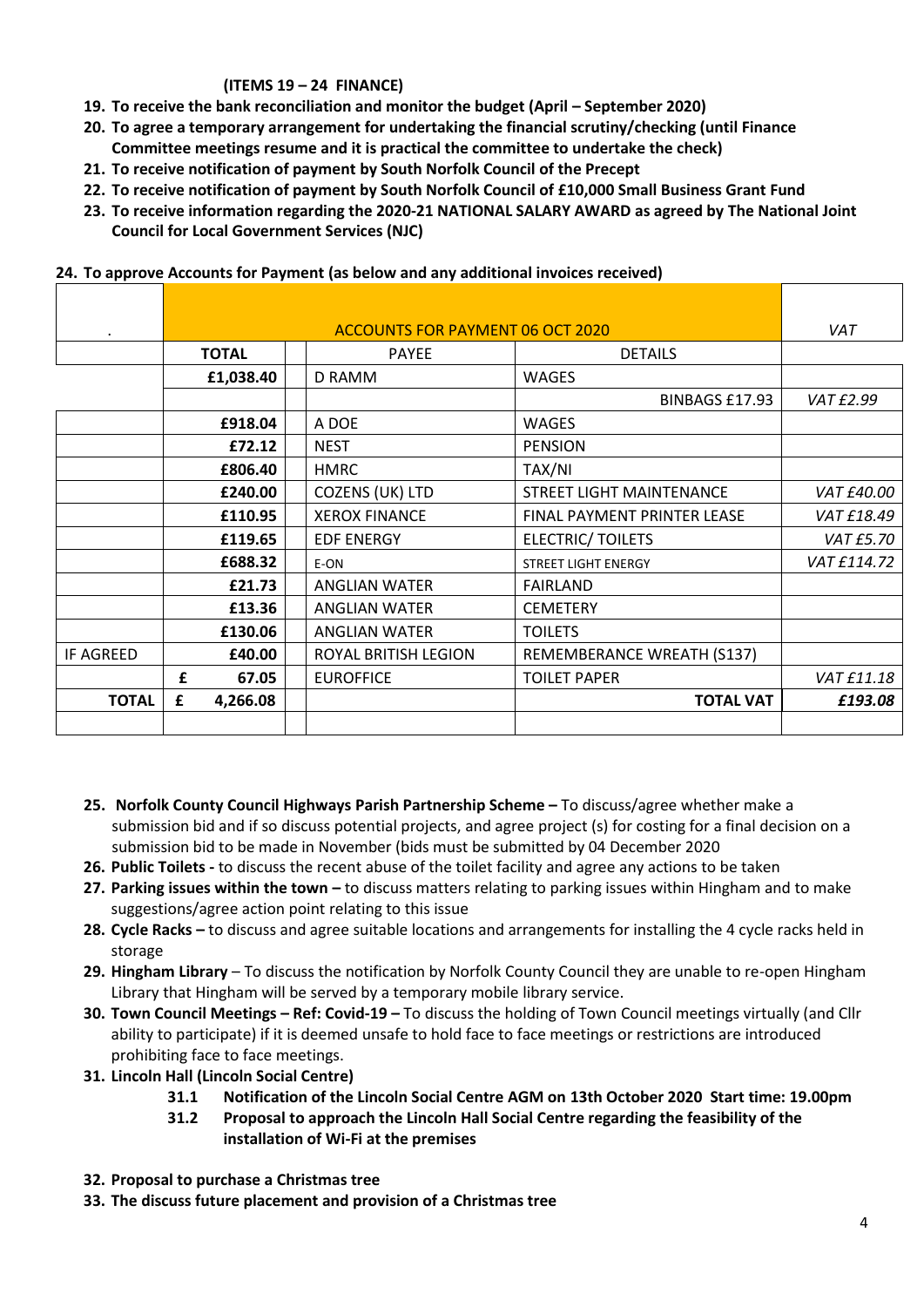## **(ITEMS 19 – 24 FINANCE)**

- **19. To receive the bank reconciliation and monitor the budget (April – September 2020)**
- **20. To agree a temporary arrangement for undertaking the financial scrutiny/checking (until Finance Committee meetings resume and it is practical the committee to undertake the check)**
- **21. To receive notification of payment by South Norfolk Council of the Precept**
- **22. To receive notification of payment by South Norfolk Council of £10,000 Small Business Grant Fund**
- **23. To receive information regarding the 2020-21 NATIONAL SALARY AWARD as agreed by The National Joint Council for Local Government Services (NJC)**

|                  |   | <b>ACCOUNTS FOR PAYMENT 06 OCT 2020</b> |  |                      |                             |             |
|------------------|---|-----------------------------------------|--|----------------------|-----------------------------|-------------|
|                  |   | <b>TOTAL</b>                            |  | <b>PAYEE</b>         | <b>DETAILS</b>              |             |
|                  |   | £1,038.40                               |  | D RAMM               | <b>WAGES</b>                |             |
|                  |   |                                         |  |                      | BINBAGS £17.93              | VAT £2.99   |
|                  |   | £918.04                                 |  | A DOE                | <b>WAGES</b>                |             |
|                  |   | £72.12                                  |  | <b>NEST</b>          | <b>PENSION</b>              |             |
|                  |   | £806.40                                 |  | <b>HMRC</b>          | TAX/NI                      |             |
|                  |   | £240.00                                 |  | COZENS (UK) LTD      | STREET LIGHT MAINTENANCE    | VAT £40.00  |
|                  |   | £110.95                                 |  | <b>XEROX FINANCE</b> | FINAL PAYMENT PRINTER LEASE | VAT £18.49  |
|                  |   | £119.65                                 |  | <b>EDF ENERGY</b>    | <b>ELECTRIC/ TOILETS</b>    | VAT £5.70   |
|                  |   | £688.32                                 |  | E-ON                 | <b>STREET LIGHT ENERGY</b>  | VAT £114.72 |
|                  |   | £21.73                                  |  | <b>ANGLIAN WATER</b> | <b>FAIRLAND</b>             |             |
|                  |   | £13.36                                  |  | <b>ANGLIAN WATER</b> | <b>CEMETERY</b>             |             |
|                  |   | £130.06                                 |  | <b>ANGLIAN WATER</b> | <b>TOILETS</b>              |             |
| <b>IF AGREED</b> |   | £40.00                                  |  | ROYAL BRITISH LEGION | REMEMBERANCE WREATH (S137)  |             |
|                  | £ | 67.05                                   |  | <b>EUROFFICE</b>     | <b>TOILET PAPER</b>         | VAT £11.18  |
| <b>TOTAL</b>     | £ | 4,266.08                                |  |                      | <b>TOTAL VAT</b>            | £193.08     |
|                  |   |                                         |  |                      |                             |             |

#### **24. To approve Accounts for Payment (as below and any additional invoices received)**

- **25. Norfolk County Council Highways Parish Partnership Scheme –** To discuss/agree whether make a submission bid and if so discuss potential projects, and agree project (s) for costing for a final decision on a submission bid to be made in November (bids must be submitted by 04 December 2020
- **26. Public Toilets -** to discuss the recent abuse of the toilet facility and agree any actions to be taken
- **27. Parking issues within the town –** to discuss matters relating to parking issues within Hingham and to make suggestions/agree action point relating to this issue
- **28. Cycle Racks –** to discuss and agree suitable locations and arrangements for installing the 4 cycle racks held in storage
- **29. Hingham Library**  To discuss the notification by Norfolk County Council they are unable to re-open Hingham Library that Hingham will be served by a temporary mobile library service.
- **30. Town Council Meetings – Ref: Covid-19 –** To discuss the holding of Town Council meetings virtually (and Cllr ability to participate) if it is deemed unsafe to hold face to face meetings or restrictions are introduced prohibiting face to face meetings.
- **31. Lincoln Hall (Lincoln Social Centre)**
	- **31.1 Notification of the Lincoln Social Centre AGM on 13th October 2020 Start time: 19.00pm**
	- **31.2 Proposal to approach the Lincoln Hall Social Centre regarding the feasibility of the installation of Wi-Fi at the premises**
- **32. Proposal to purchase a Christmas tree**
- **33. The discuss future placement and provision of a Christmas tree**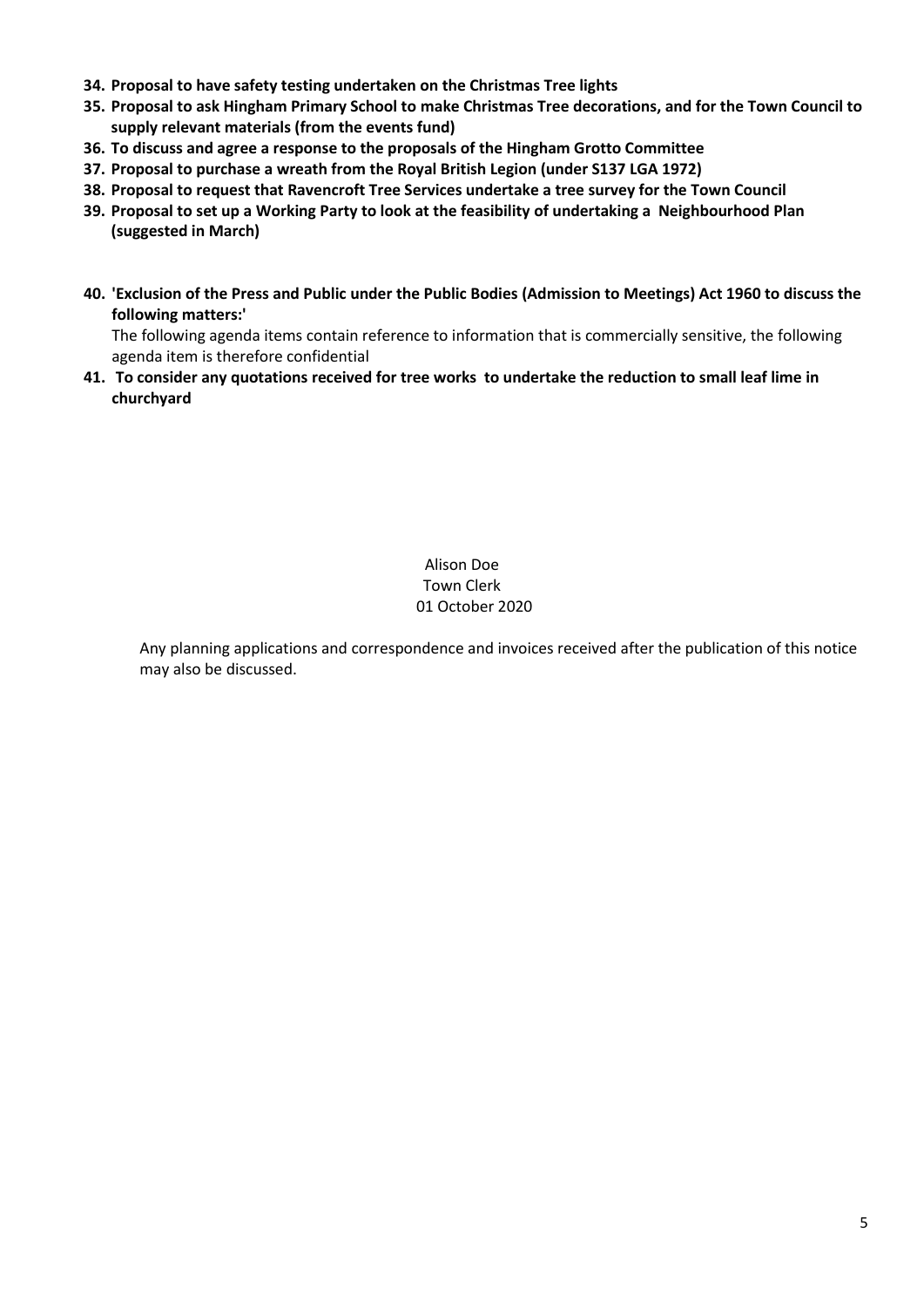- **34. Proposal to have safety testing undertaken on the Christmas Tree lights**
- **35. Proposal to ask Hingham Primary School to make Christmas Tree decorations, and for the Town Council to supply relevant materials (from the events fund)**
- **36. To discuss and agree a response to the proposals of the Hingham Grotto Committee**
- **37. Proposal to purchase a wreath from the Royal British Legion (under S137 LGA 1972)**
- **38. Proposal to request that Ravencroft Tree Services undertake a tree survey for the Town Council**
- **39. Proposal to set up a Working Party to look at the feasibility of undertaking a Neighbourhood Plan (suggested in March)**
- **40. 'Exclusion of the Press and Public under the Public Bodies (Admission to Meetings) Act 1960 to discuss the following matters:'**

The following agenda items contain reference to information that is commercially sensitive, the following agenda item is therefore confidential

**41. To consider any quotations received for tree works to undertake the reduction to small leaf lime in churchyard**

> Alison Doe Town Clerk 01 October 2020

Any planning applications and correspondence and invoices received after the publication of this notice may also be discussed.